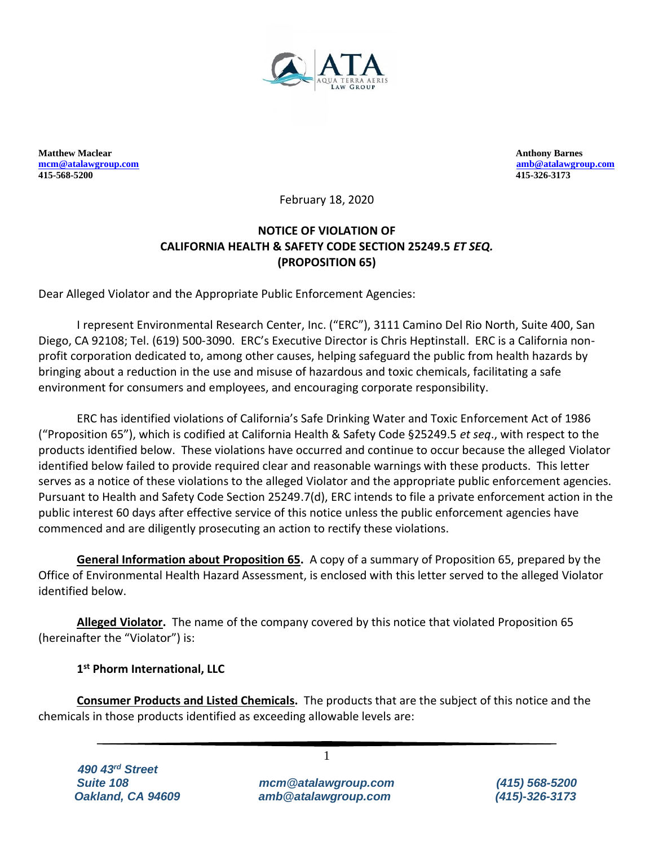

**Matthew Maclear Anthony Barnes Anthony Barnes Anthony Barnes Anthony Barnes Anthony Barnes Anthony Barnes Anthony Barnes Anthony Barnes Anthony Barnes Anthony Barnes Anthony Barnes Anthony Barnes Anthony Barnes Anthony Ba [mcm@atalawgroup.com](mailto:mcm@atalawgroup.com) [amb@atalawgroup.com](mailto:amb@atalawgroup.com) 415-568-5200 415-326-3173**

February 18, 2020

# **NOTICE OF VIOLATION OF CALIFORNIA HEALTH & SAFETY CODE SECTION 25249.5** *ET SEQ.* **(PROPOSITION 65)**

Dear Alleged Violator and the Appropriate Public Enforcement Agencies:

I represent Environmental Research Center, Inc. ("ERC"), 3111 Camino Del Rio North, Suite 400, San Diego, CA 92108; Tel. (619) 500-3090. ERC's Executive Director is Chris Heptinstall. ERC is a California nonprofit corporation dedicated to, among other causes, helping safeguard the public from health hazards by bringing about a reduction in the use and misuse of hazardous and toxic chemicals, facilitating a safe environment for consumers and employees, and encouraging corporate responsibility.

ERC has identified violations of California's Safe Drinking Water and Toxic Enforcement Act of 1986 ("Proposition 65"), which is codified at California Health & Safety Code §25249.5 *et seq*., with respect to the products identified below. These violations have occurred and continue to occur because the alleged Violator identified below failed to provide required clear and reasonable warnings with these products. This letter serves as a notice of these violations to the alleged Violator and the appropriate public enforcement agencies. Pursuant to Health and Safety Code Section 25249.7(d), ERC intends to file a private enforcement action in the public interest 60 days after effective service of this notice unless the public enforcement agencies have commenced and are diligently prosecuting an action to rectify these violations.

**General Information about Proposition 65.** A copy of a summary of Proposition 65, prepared by the Office of Environmental Health Hazard Assessment, is enclosed with this letter served to the alleged Violator identified below.

**Alleged Violator.** The name of the company covered by this notice that violated Proposition 65 (hereinafter the "Violator") is:

**1 st Phorm International, LLC**

**Consumer Products and Listed Chemicals.** The products that are the subject of this notice and the chemicals in those products identified as exceeding allowable levels are:

1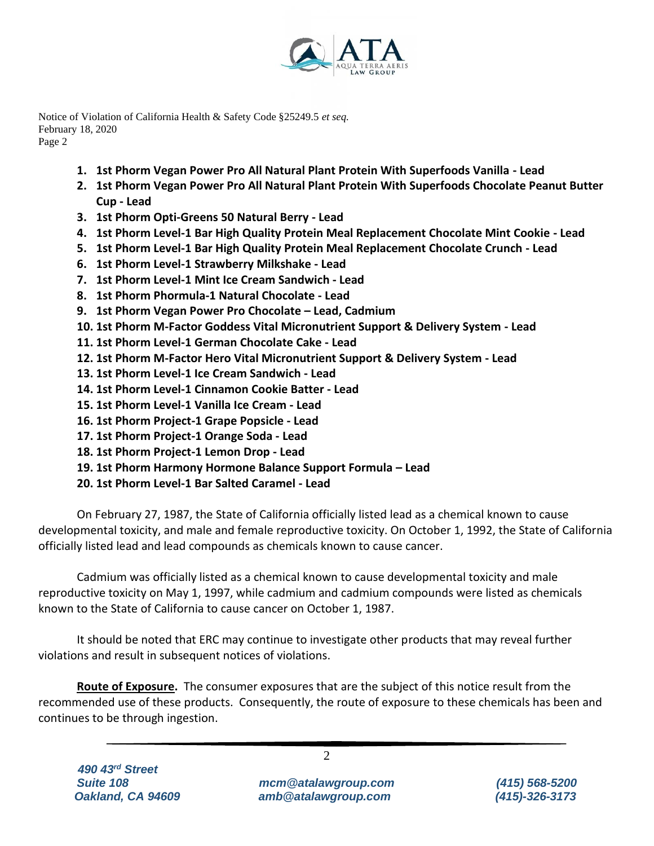

- **1. 1st Phorm Vegan Power Pro All Natural Plant Protein With Superfoods Vanilla - Lead**
- **2. 1st Phorm Vegan Power Pro All Natural Plant Protein With Superfoods Chocolate Peanut Butter Cup - Lead**
- **3. 1st Phorm Opti-Greens 50 Natural Berry - Lead**
- **4. 1st Phorm Level-1 Bar High Quality Protein Meal Replacement Chocolate Mint Cookie - Lead**
- **5. 1st Phorm Level-1 Bar High Quality Protein Meal Replacement Chocolate Crunch - Lead**
- **6. 1st Phorm Level-1 Strawberry Milkshake - Lead**
- **7. 1st Phorm Level-1 Mint Ice Cream Sandwich - Lead**
- **8. 1st Phorm Phormula-1 Natural Chocolate - Lead**
- **9. 1st Phorm Vegan Power Pro Chocolate – Lead, Cadmium**
- **10. 1st Phorm M-Factor Goddess Vital Micronutrient Support & Delivery System - Lead**
- **11. 1st Phorm Level-1 German Chocolate Cake - Lead**
- **12. 1st Phorm M-Factor Hero Vital Micronutrient Support & Delivery System - Lead**
- **13. 1st Phorm Level-1 Ice Cream Sandwich - Lead**
- **14. 1st Phorm Level-1 Cinnamon Cookie Batter - Lead**
- **15. 1st Phorm Level-1 Vanilla Ice Cream - Lead**
- **16. 1st Phorm Project-1 Grape Popsicle - Lead**
- **17. 1st Phorm Project-1 Orange Soda - Lead**
- **18. 1st Phorm Project-1 Lemon Drop - Lead**
- **19. 1st Phorm Harmony Hormone Balance Support Formula – Lead**
- **20. 1st Phorm Level-1 Bar Salted Caramel - Lead**

On February 27, 1987, the State of California officially listed lead as a chemical known to cause developmental toxicity, and male and female reproductive toxicity. On October 1, 1992, the State of California officially listed lead and lead compounds as chemicals known to cause cancer.

Cadmium was officially listed as a chemical known to cause developmental toxicity and male reproductive toxicity on May 1, 1997, while cadmium and cadmium compounds were listed as chemicals known to the State of California to cause cancer on October 1, 1987.

It should be noted that ERC may continue to investigate other products that may reveal further violations and result in subsequent notices of violations.

**Route of Exposure.** The consumer exposures that are the subject of this notice result from the recommended use of these products. Consequently, the route of exposure to these chemicals has been and continues to be through ingestion.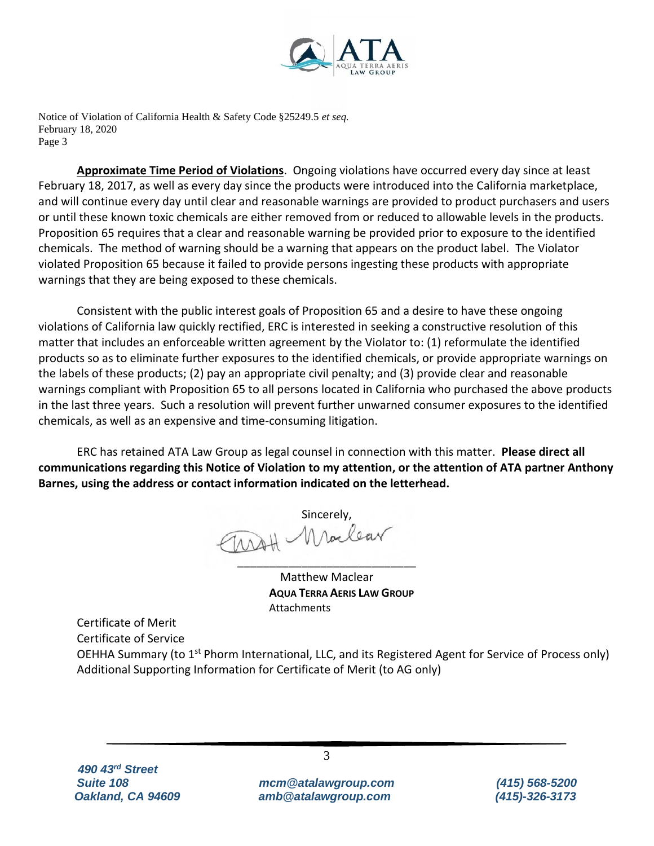

**Approximate Time Period of Violations**. Ongoing violations have occurred every day since at least February 18, 2017, as well as every day since the products were introduced into the California marketplace, and will continue every day until clear and reasonable warnings are provided to product purchasers and users or until these known toxic chemicals are either removed from or reduced to allowable levels in the products. Proposition 65 requires that a clear and reasonable warning be provided prior to exposure to the identified chemicals. The method of warning should be a warning that appears on the product label. The Violator violated Proposition 65 because it failed to provide persons ingesting these products with appropriate warnings that they are being exposed to these chemicals.

Consistent with the public interest goals of Proposition 65 and a desire to have these ongoing violations of California law quickly rectified, ERC is interested in seeking a constructive resolution of this matter that includes an enforceable written agreement by the Violator to: (1) reformulate the identified products so as to eliminate further exposures to the identified chemicals, or provide appropriate warnings on the labels of these products; (2) pay an appropriate civil penalty; and (3) provide clear and reasonable warnings compliant with Proposition 65 to all persons located in California who purchased the above products in the last three years. Such a resolution will prevent further unwarned consumer exposures to the identified chemicals, as well as an expensive and time-consuming litigation.

ERC has retained ATA Law Group as legal counsel in connection with this matter. **Please direct all communications regarding this Notice of Violation to my attention, or the attention of ATA partner Anthony Barnes, using the address or contact information indicated on the letterhead.**

Sincerely,<br>114H Maclear \_\_\_\_\_\_\_\_\_\_\_\_\_\_\_\_\_\_\_\_\_\_\_\_\_\_\_\_

Matthew Maclear **AQUA TERRA AERIS LAW GROUP Attachments** 

Certificate of Merit Certificate of Service OEHHA Summary (to 1<sup>st</sup> Phorm International, LLC, and its Registered Agent for Service of Process only) Additional Supporting Information for Certificate of Merit (to AG only)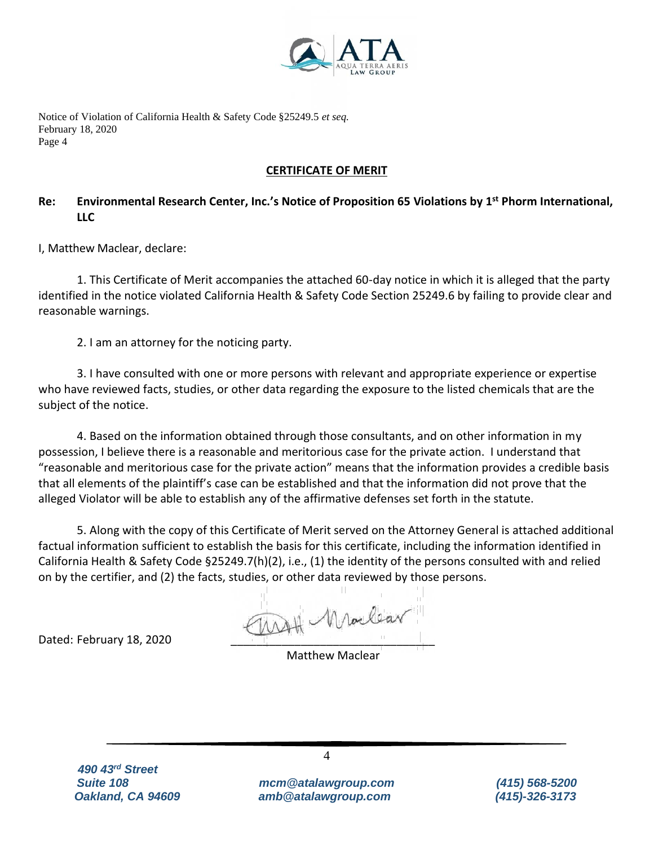

### **CERTIFICATE OF MERIT**

## **Re: Environmental Research Center, Inc.'s Notice of Proposition 65 Violations by 1 st Phorm International, LLC**

I, Matthew Maclear, declare:

1. This Certificate of Merit accompanies the attached 60-day notice in which it is alleged that the party identified in the notice violated California Health & Safety Code Section 25249.6 by failing to provide clear and reasonable warnings.

2. I am an attorney for the noticing party.

3. I have consulted with one or more persons with relevant and appropriate experience or expertise who have reviewed facts, studies, or other data regarding the exposure to the listed chemicals that are the subject of the notice.

4. Based on the information obtained through those consultants, and on other information in my possession, I believe there is a reasonable and meritorious case for the private action. I understand that "reasonable and meritorious case for the private action" means that the information provides a credible basis that all elements of the plaintiff's case can be established and that the information did not prove that the alleged Violator will be able to establish any of the affirmative defenses set forth in the statute.

5. Along with the copy of this Certificate of Merit served on the Attorney General is attached additional factual information sufficient to establish the basis for this certificate, including the information identified in California Health & Safety Code §25249.7(h)(2), i.e., (1) the identity of the persons consulted with and relied on by the certifier, and (2) the facts, studies, or other data reviewed by those persons.

Dated: February 18, 2020 \_\_\_\_\_\_\_\_\_\_\_\_\_\_\_\_\_\_\_\_\_\_\_\_\_\_\_\_\_\_\_\_

Matthew Maclear

 *490 43rd Street*

*Suite 108 mcm@atalawgroup.com (415) 568-5200 Oakland, CA 94609 amb@atalawgroup.com (415)-326-3173*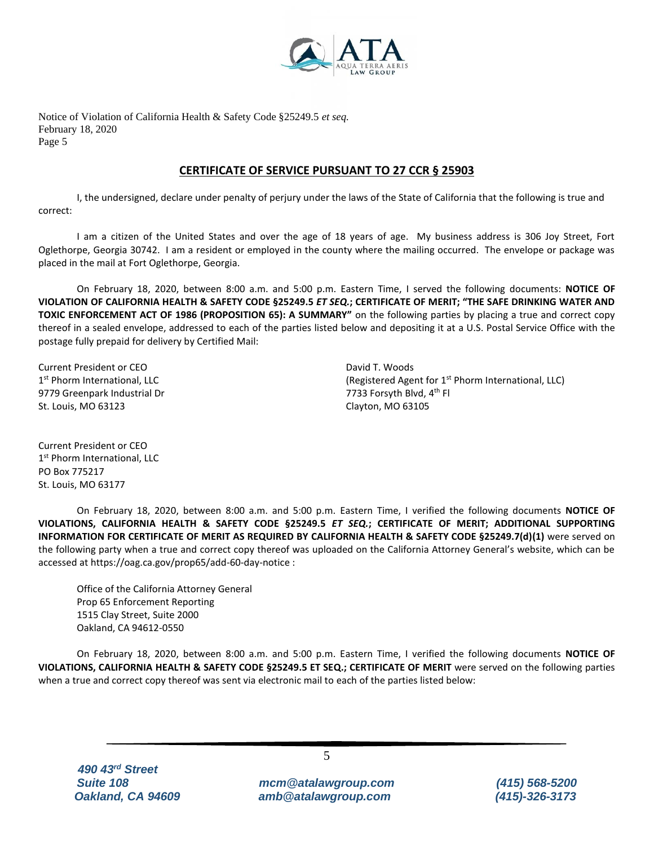

#### **CERTIFICATE OF SERVICE PURSUANT TO 27 CCR § 25903**

I, the undersigned, declare under penalty of perjury under the laws of the State of California that the following is true and correct:

I am a citizen of the United States and over the age of 18 years of age. My business address is 306 Joy Street, Fort Oglethorpe, Georgia 30742. I am a resident or employed in the county where the mailing occurred. The envelope or package was placed in the mail at Fort Oglethorpe, Georgia.

On February 18, 2020, between 8:00 a.m. and 5:00 p.m. Eastern Time, I served the following documents: **NOTICE OF VIOLATION OF CALIFORNIA HEALTH & SAFETY CODE §25249.5** *ET SEQ.***; CERTIFICATE OF MERIT; "THE SAFE DRINKING WATER AND TOXIC ENFORCEMENT ACT OF 1986 (PROPOSITION 65): A SUMMARY"** on the following parties by placing a true and correct copy thereof in a sealed envelope, addressed to each of the parties listed below and depositing it at a U.S. Postal Service Office with the postage fully prepaid for delivery by Certified Mail:

Current President or CEO 1st Phorm International, LLC 9779 Greenpark Industrial Dr St. Louis, MO 63123

David T. Woods (Registered Agent for 1<sup>st</sup> Phorm International, LLC) 7733 Forsyth Blvd, 4<sup>th</sup> Fl Clayton, MO 63105

Current President or CEO 1st Phorm International, LLC PO Box 775217 St. Louis, MO 63177

On February 18, 2020, between 8:00 a.m. and 5:00 p.m. Eastern Time, I verified the following documents **NOTICE OF VIOLATIONS, CALIFORNIA HEALTH & SAFETY CODE §25249.5** *ET SEQ.***; CERTIFICATE OF MERIT; ADDITIONAL SUPPORTING INFORMATION FOR CERTIFICATE OF MERIT AS REQUIRED BY CALIFORNIA HEALTH & SAFETY CODE §25249.7(d)(1)** were served on the following party when a true and correct copy thereof was uploaded on the California Attorney General's website, which can be accessed at https://oag.ca.gov/prop65/add-60-day-notice :

Office of the California Attorney General Prop 65 Enforcement Reporting 1515 Clay Street, Suite 2000 Oakland, CA 94612-0550

On February 18, 2020, between 8:00 a.m. and 5:00 p.m. Eastern Time, I verified the following documents **NOTICE OF VIOLATIONS, CALIFORNIA HEALTH & SAFETY CODE §25249.5 ET SEQ.; CERTIFICATE OF MERIT** were served on the following parties when a true and correct copy thereof was sent via electronic mail to each of the parties listed below:

5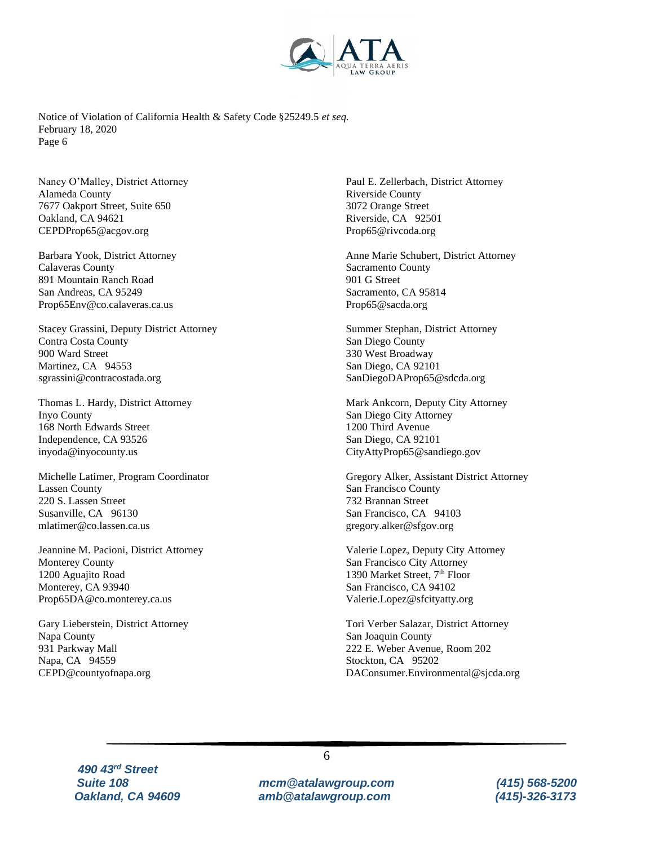

Nancy O'Malley, District Attorney Alameda County 7677 Oakport Street, Suite 650 Oakland, CA 94621 CEPDProp65@acgov.org

Barbara Yook, District Attorney Calaveras County 891 Mountain Ranch Road San Andreas, CA 95249 Prop65Env@co.calaveras.ca.us

[Stacey Grassini,](https://oag.ca.gov/prop65/contacts/stacey-grassini) Deputy District Attorney Contra Costa County 900 Ward Street Martinez, CA 94553 [sgrassini@contracostada.org](mailto:sgrassini@contracostada.org)

Thomas L. Hardy, District Attorney Inyo County 168 North Edwards Street Independence, CA 93526 inyoda@inyocounty.us

[Michelle Latimer,](https://oag.ca.gov/prop65/contacts/michelle-latimer) Program Coordinator Lassen County 220 S. Lassen Street Susanville, CA 96130 [mlatimer@co.lassen.ca.us](mailto:mlatimer@co.lassen.ca.us)

Jeannine M. Pacioni, District Attorney Monterey County 1200 Aguajito Road Monterey, CA 93940 Prop65DA@co.monterey.ca.us

Gary Lieberstein, District Attorney Napa County 931 Parkway Mall Napa, CA 94559 [CEPD@countyofnapa.org](mailto:CEPD@countyofnapa.org)

[Paul E. Zellerbach,](https://oag.ca.gov/prop65/contacts/paul-e-zellerbach) District Attorney Riverside County 3072 Orange Street Riverside, CA 92501 [Prop65@rivcoda.org](mailto:Prop65@rivcoda.org)

Anne Marie Schubert, District Attorney Sacramento County 901 G Street Sacramento, CA 95814 Prop65@sacda.org

Summer Stephan, District Attorney San Diego County 330 West Broadway San Diego, CA 92101 SanDiegoDAProp65@sdcda.org

Mark Ankcorn, Deputy City Attorney San Diego City Attorney 1200 Third Avenue San Diego, CA 92101 CityAttyProp65@sandiego.gov

[Gregory Alker,](https://oag.ca.gov/prop65/contacts/gregory-alker) Assistant District Attorney San Francisco County 732 Brannan Street San Francisco, CA 94103 [gregory.alker@sfgov.org](mailto:gregory.alker@sfgov.org)

Valerie Lopez, Deputy City Attorney San Francisco City Attorney 1390 Market Street, 7<sup>th</sup> Floor San Francisco, CA 94102 Valerie.Lopez@sfcityatty.org

Tori Verber Salazar, District Attorney San Joaquin County 222 E. Weber Avenue, Room 202 Stockton, CA 95202 DAConsumer.Environmental@sjcda.org

 *490 43rd Street*

*Suite 108 mcm@atalawgroup.com (415) 568-5200 Oakland, CA 94609 amb@atalawgroup.com (415)-326-3173*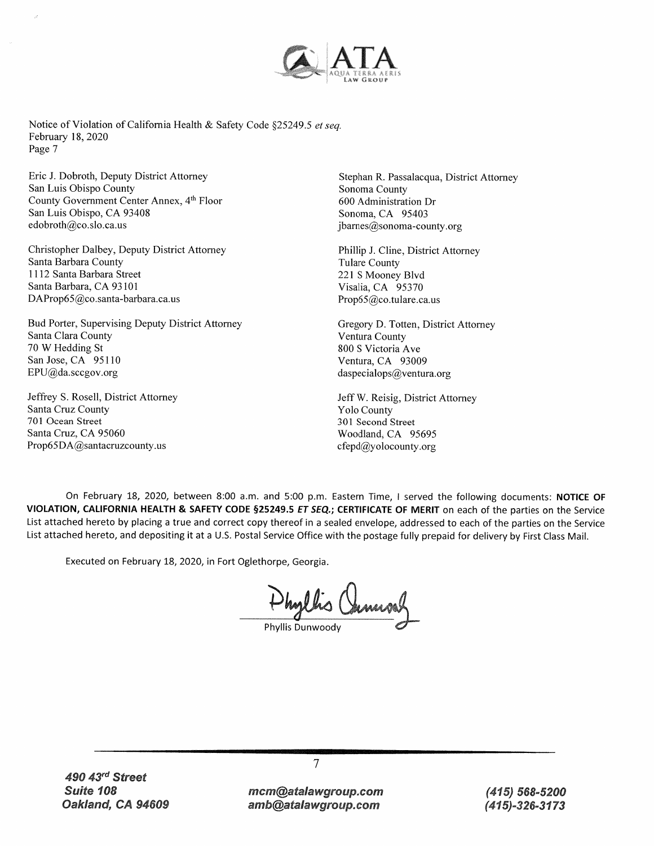

Eric J. Dobroth, Deputy District Attorney San Luis Obispo County County Government Center Annex, 4th Floor San Luis Obispo, CA 93408 edobroth@co.slo.ca.us

Christopher Dalbey, Deputy District Attorney Santa Barbara County 1112 Santa Barbara Street Santa Barbara, CA 93101 DAProp65@co.santa-barbara.ca.us

Bud Porter, Supervising Deputy District Attorney Santa Clara County 70 W Hedding St San Jose, CA 95110  $EPU@da.scegov.org$ 

Jeffrey S. Rosell, District Attorney Santa Cruz County 701 Ocean Street Santa Cruz, CA 95060 Prop65DA@santacruzcounty.us

Stephan R. Passalacqua, District Attorney Sonoma County 600 Administration Dr Sonoma, CA 95403  $ibarnes@sonoma$ -county.org

Phillip J. Cline, District Attorney **Tulare County** 221 S Mooney Blvd Visalia, CA 95370 Prop65@co.tulare.ca.us

Gregory D. Totten, District Attorney Ventura County 800 S Victoria Ave Ventura, CA 93009 daspecialops@ventura.org

Jeff W. Reisig, District Attorney **Yolo County** 301 Second Street Woodland, CA 95695 cfepd@yolocounty.org

On February 18, 2020, between 8:00 a.m. and 5:00 p.m. Eastern Time, I served the following documents: NOTICE OF VIOLATION, CALIFORNIA HEALTH & SAFETY CODE §25249.5 ET SEQ.; CERTIFICATE OF MERIT on each of the parties on the Service List attached hereto by placing a true and correct copy thereof in a sealed envelope, addressed to each of the parties on the Service List attached hereto, and depositing it at a U.S. Postal Service Office with the postage fully prepaid for delivery by First Class Mail.

Executed on February 18, 2020, in Fort Oglethorpe, Georgia.

Shyllis Channos

Phyllis Dunwoody

 $\overline{7}$ 

 $(415) 568 - 5200$ (415)-326-3173